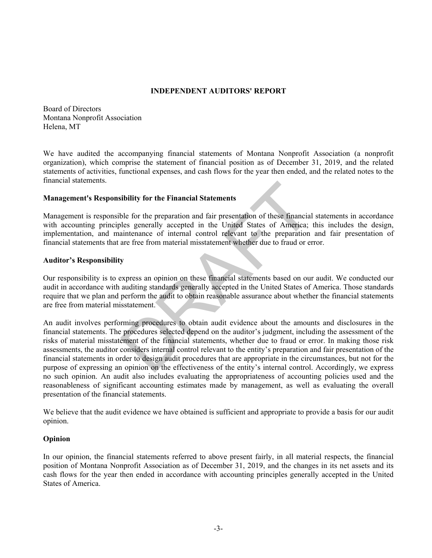# AMATICS

## **INDEPENDENT AUDITORS' REPORT**

Board of Directors Montana Nonprofit Association Helena, MT

We have audited the accompanying financial statements of Montana Nonprofit Association (a nonprofit organization), which comprise the statement of financial position as of December 31, 2019, and the related statements of activities, functional expenses, and cash flows for the year then ended, and the related notes to the financial statements.

# **Management's Responsibility for the Financial Statements**

Management is responsible for the preparation and fair presentation of these financial statements in accordance with accounting principles generally accepted in the United States of America; this includes the design, implementation, and maintenance of internal control relevant to the preparation and fair presentation of financial statements that are free from material misstatement whether due to fraud or error.

## **Auditor's Responsibility**

Our responsibility is to express an opinion on these financial statements based on our audit. We conducted our audit in accordance with auditing standards generally accepted in the United States of America. Those standards require that we plan and perform the audit to obtain reasonable assurance about whether the financial statements are free from material misstatement.

An audit involves performing procedures to obtain audit evidence about the amounts and disclosures in the financial statements. The procedures selected depend on the auditor's judgment, including the assessment of the risks of material misstatement of the financial statements, whether due to fraud or error. In making those risk assessments, the auditor considers internal control relevant to the entity's preparation and fair presentation of the financial statements in order to design audit procedures that are appropriate in the circumstances, but not for the purpose of expressing an opinion on the effectiveness of the entity's internal control. Accordingly, we express no such opinion. An audit also includes evaluating the appropriateness of accounting policies used and the reasonableness of significant accounting estimates made by management, as well as evaluating the overall presentation of the financial statements.

We believe that the audit evidence we have obtained is sufficient and appropriate to provide a basis for our audit opinion.

# **Opinion**

In our opinion, the financial statements referred to above present fairly, in all material respects, the financial position of Montana Nonprofit Association as of December 31, 2019, and the changes in its net assets and its cash flows for the year then ended in accordance with accounting principles generally accepted in the United States of America.

-3-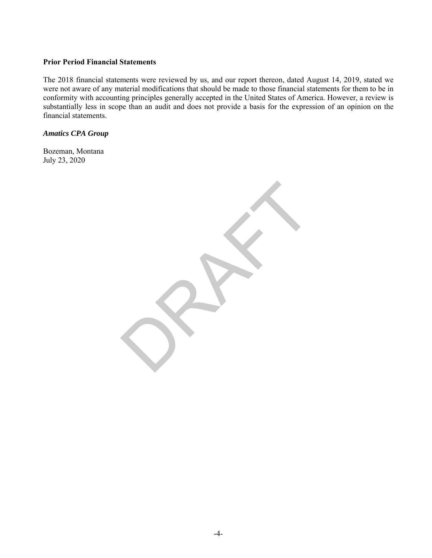# **Prior Period Financial Statements**

The 2018 financial statements were reviewed by us, and our report thereon, dated August 14, 2019, stated we were not aware of any material modifications that should be made to those financial statements for them to be in conformity with accounting principles generally accepted in the United States of America. However, a review is substantially less in scope than an audit and does not provide a basis for the expression of an opinion on the financial statements.

# *Amatics CPA Group*

Bozeman, Montana July 23, 2020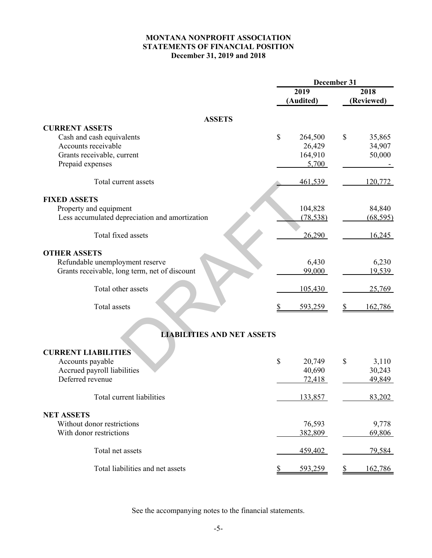# **MONTANA NONPROFIT ASSOCIATION STATEMENTS OF FINANCIAL POSITION December 31, 2019 and 2018**

|                                                |                   | December 31        |
|------------------------------------------------|-------------------|--------------------|
|                                                | 2019<br>(Audited) | 2018<br>(Reviewed) |
| <b>ASSETS</b>                                  |                   |                    |
| <b>CURRENT ASSETS</b>                          |                   |                    |
| Cash and cash equivalents                      | \$<br>264,500     | \$<br>35,865       |
| Accounts receivable                            | 26,429            | 34,907             |
| Grants receivable, current                     | 164,910           | 50,000             |
| Prepaid expenses                               | 5,700             |                    |
| Total current assets                           | 461,539           | 120,772            |
| <b>FIXED ASSETS</b>                            |                   |                    |
| Property and equipment                         | 104,828           | 84,840             |
| Less accumulated depreciation and amortization | (78, 538)         | (68, 595)          |
| Total fixed assets                             | 26,290            | 16,245             |
| <b>OTHER ASSETS</b>                            |                   |                    |
| Refundable unemployment reserve                | 6,430             | 6,230              |
| Grants receivable, long term, net of discount  | 99,000            | 19,539             |
| Total other assets                             | 105,430           | 25,769             |
| <b>Total</b> assets                            | \$<br>593,259     | 162,786<br>S       |
| <b>LIABILITIES AND NET ASSETS</b>              |                   |                    |
| <b>CURRENT LIABILITIES</b>                     |                   |                    |
| Accounts payable                               | \$<br>20,749      | \$<br>3,110        |
| Accrued payroll liabilities                    | 40,690            | 30,243             |
| Deferred revenue                               | 72,418            | 49,849             |
| Total current liabilities                      | 133,857           | 83,202             |
| <b>NET ASSETS</b>                              |                   |                    |
| Without donor restrictions                     | 76,593            | 9,778              |
| With donor restrictions                        | 382,809           | 69,806             |
| Total net assets                               | 459,402           | 79,584             |
| Total liabilities and net assets               | 593,259           | 162,786            |

See the accompanying notes to the financial statements.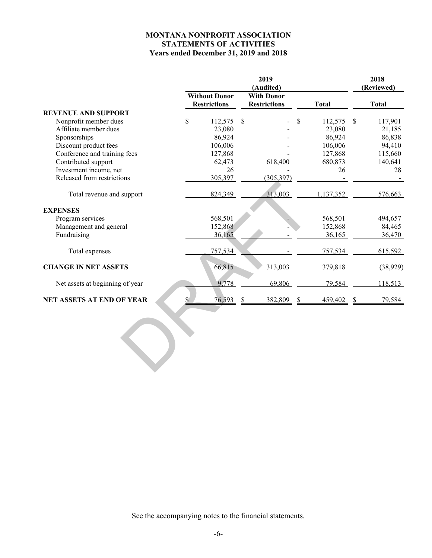# **MONTANA NONPROFIT ASSOCIATION STATEMENTS OF ACTIVITIES Years ended December 31, 2019 and 2018**

|                                  |                                                                                         |              | 2019<br>(Audited) |    |           |               | 2018<br>(Reviewed) |
|----------------------------------|-----------------------------------------------------------------------------------------|--------------|-------------------|----|-----------|---------------|--------------------|
|                                  | <b>Without Donor</b><br><b>With Donor</b><br><b>Restrictions</b><br><b>Restrictions</b> |              | <b>Total</b>      |    |           | <b>Total</b>  |                    |
| <b>REVENUE AND SUPPORT</b>       |                                                                                         |              |                   |    |           |               |                    |
| Nonprofit member dues            | \$<br>112,575                                                                           | $\mathbb{S}$ |                   | \$ | 112,575   | <sup>\$</sup> | 117,901            |
| Affiliate member dues            | 23,080                                                                                  |              |                   |    | 23,080    |               | 21,185             |
| Sponsorships                     | 86,924                                                                                  |              |                   |    | 86,924    |               | 86,838             |
| Discount product fees            | 106,006                                                                                 |              |                   |    | 106,006   |               | 94,410             |
| Conference and training fees     | 127,868                                                                                 |              |                   |    | 127,868   |               | 115,660            |
| Contributed support              | 62,473                                                                                  |              | 618,400           |    | 680,873   |               | 140,641            |
| Investment income, net           | 26                                                                                      |              |                   |    | 26        |               | 28                 |
| Released from restrictions       | 305,397                                                                                 |              | (305, 397)        |    |           |               |                    |
| Total revenue and support        | 824,349                                                                                 |              | 313,003           |    | 1,137,352 |               | 576,663            |
| <b>EXPENSES</b>                  |                                                                                         |              |                   |    |           |               |                    |
| Program services                 | 568,501                                                                                 |              |                   |    | 568,501   |               | 494,657            |
| Management and general           | 152,868                                                                                 |              |                   |    | 152,868   |               | 84,465             |
| Fundraising                      | 36,165                                                                                  |              |                   |    | 36,165    |               | 36,470             |
| Total expenses                   | 757,534                                                                                 |              |                   |    | 757,534   |               | 615,592            |
| <b>CHANGE IN NET ASSETS</b>      | 66,815                                                                                  |              | 313,003           |    | 379,818   |               | (38, 929)          |
| Net assets at beginning of year  | 9,778                                                                                   |              | 69,806            |    | 79,584    |               | 118,513            |
| <b>NET ASSETS AT END OF YEAR</b> | 76,593                                                                                  |              | 382,809           |    | 459,402   |               | 79,584             |

See the accompanying notes to the financial statements.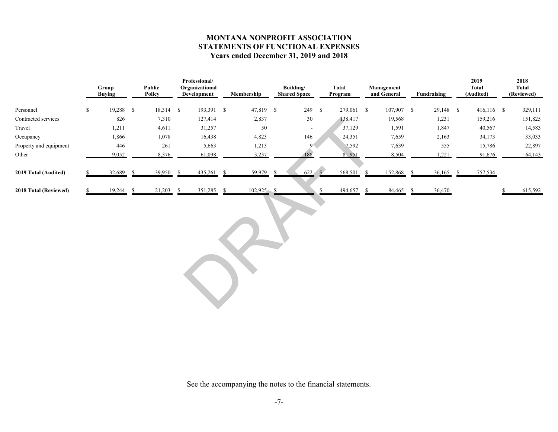# **MONTANA NONPROFIT ASSOCIATION STATEMENTS OF FUNCTIONAL EXPENSES Years ended December 31, 2019 and 2018**

|                        |               | Group<br><b>Buying</b> | <b>Public</b><br>Policy |     | Professional/<br>Organizational<br>Development | Membership | Building/<br><b>Shared Space</b> |    | <b>Total</b><br>Program | Management<br>and General |      | Fundraising | 2019<br><b>Total</b><br>(Audited) | 2018<br>Total<br>(Reviewed) |
|------------------------|---------------|------------------------|-------------------------|-----|------------------------------------------------|------------|----------------------------------|----|-------------------------|---------------------------|------|-------------|-----------------------------------|-----------------------------|
| Personnel              | <sup>\$</sup> | 19,288 \$              | 18,314                  | - S | 193,391 \$                                     | 47,819 \$  | 249                              | -S | 279,061 \$              | 107,907                   | - \$ | 29,148 \$   | $416,116$ \$                      | 329,111                     |
| Contracted services    |               | 826                    | 7,310                   |     | 127,414                                        | 2,837      | 30                               |    | 138,417                 | 19,568                    |      | 1,231       | 159,216                           | 151,825                     |
| Travel                 |               | 1,211                  | 4,611                   |     | 31,257                                         | 50         | $\overline{\phantom{a}}$         |    | 37,129                  | 1,591                     |      | 1,847       | 40,567                            | 14,583                      |
| Occupancy              |               | 1,866                  | 1,078                   |     | 16,438                                         | 4,823      | 146                              |    | 24,351                  | 7,659                     |      | 2,163       | 34,173                            | 33,033                      |
| Property and equipment |               | 446                    | 261                     |     | 5,663                                          | 1,213      | 9                                |    | 7,592                   | 7,639                     |      | 555         | 15,786                            | 22,897                      |
| Other                  |               | 9,052                  | 8,376                   |     | 61,098                                         | 3,237      | 188                              |    | 81,951                  | 8,504                     |      | 1,221       | 91,676                            | 64,143                      |
| 2019 Total (Audited)   |               | 32,689                 | 39,950                  |     | 435,261                                        | 59.979     | 622                              |    | 568,501                 | 152,868                   |      | 36,165      | 757,534                           |                             |
| 2018 Total (Reviewed)  |               | 19,244                 | 21,203                  |     | 351,285                                        | 102,925    |                                  |    | 494,657                 | 84,465                    |      | 36,470      |                                   | 615,592                     |

See the accompanying the notes to the financial statements.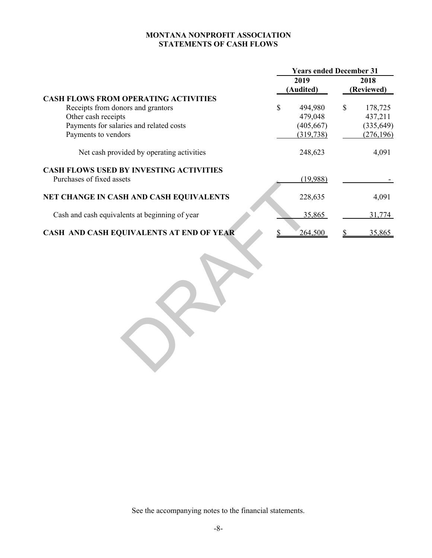# **MONTANA NONPROFIT ASSOCIATION STATEMENTS OF CASH FLOWS**

|                                                | <b>Years ended December 31</b> |            |    |            |  |
|------------------------------------------------|--------------------------------|------------|----|------------|--|
|                                                |                                | 2019       |    | 2018       |  |
|                                                |                                | (Audited)  |    | (Reviewed) |  |
| <b>CASH FLOWS FROM OPERATING ACTIVITIES</b>    |                                |            |    |            |  |
| Receipts from donors and grantors              | \$                             | 494,980    | \$ | 178,725    |  |
| Other cash receipts                            |                                | 479,048    |    | 437,211    |  |
| Payments for salaries and related costs        |                                | (405, 667) |    | (335, 649) |  |
| Payments to vendors                            |                                | (319, 738) |    | (276, 196) |  |
| Net cash provided by operating activities      |                                | 248,623    |    | 4,091      |  |
| <b>CASH FLOWS USED BY INVESTING ACTIVITIES</b> |                                |            |    |            |  |
| Purchases of fixed assets                      |                                | (19,988)   |    |            |  |
| NET CHANGE IN CASH AND CASH EQUIVALENTS        |                                | 228,635    |    | 4,091      |  |
| Cash and cash equivalents at beginning of year |                                | 35,865     |    | 31,774     |  |
| CASH AND CASH EQUIVALENTS AT END OF YEAR       |                                | 264,500    |    | 35,865     |  |

See the accompanying notes to the financial statements.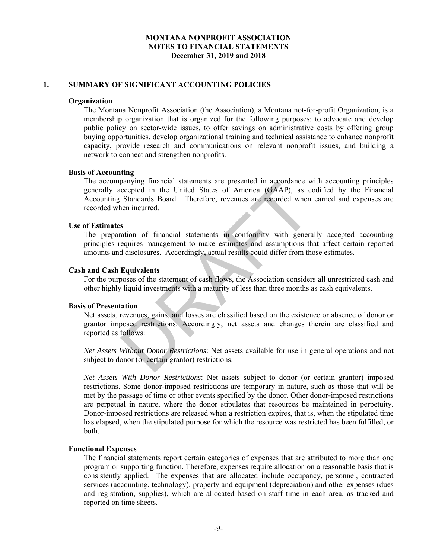## **1. SUMMARY OF SIGNIFICANT ACCOUNTING POLICIES**

#### **Organization**

The Montana Nonprofit Association (the Association), a Montana not-for-profit Organization, is a membership organization that is organized for the following purposes: to advocate and develop public policy on sector-wide issues, to offer savings on administrative costs by offering group buying opportunities, develop organizational training and technical assistance to enhance nonprofit capacity, provide research and communications on relevant nonprofit issues, and building a network to connect and strengthen nonprofits.

#### **Basis of Accounting**

The accompanying financial statements are presented in accordance with accounting principles generally accepted in the United States of America (GAAP), as codified by the Financial Accounting Standards Board. Therefore, revenues are recorded when earned and expenses are recorded when incurred.

## **Use of Estimates**

The preparation of financial statements in conformity with generally accepted accounting principles requires management to make estimates and assumptions that affect certain reported amounts and disclosures. Accordingly, actual results could differ from those estimates.

## **Cash and Cash Equivalents**

For the purposes of the statement of cash flows, the Association considers all unrestricted cash and other highly liquid investments with a maturity of less than three months as cash equivalents.

## **Basis of Presentation**

Net assets, revenues, gains, and losses are classified based on the existence or absence of donor or grantor imposed restrictions. Accordingly, net assets and changes therein are classified and reported as follows:

*Net Assets Without Donor Restrictions*: Net assets available for use in general operations and not subject to donor (or certain grantor) restrictions*.*

*Net Assets With Donor Restrictions*: Net assets subject to donor (or certain grantor) imposed restrictions. Some donor-imposed restrictions are temporary in nature, such as those that will be met by the passage of time or other events specified by the donor. Other donor-imposed restrictions are perpetual in nature, where the donor stipulates that resources be maintained in perpetuity. Donor-imposed restrictions are released when a restriction expires, that is, when the stipulated time has elapsed, when the stipulated purpose for which the resource was restricted has been fulfilled, or both.

#### **Functional Expenses**

The financial statements report certain categories of expenses that are attributed to more than one program or supporting function. Therefore, expenses require allocation on a reasonable basis that is consistently applied. The expenses that are allocated include occupancy, personnel, contracted services (accounting, technology), property and equipment (depreciation) and other expenses (dues and registration, supplies), which are allocated based on staff time in each area, as tracked and reported on time sheets.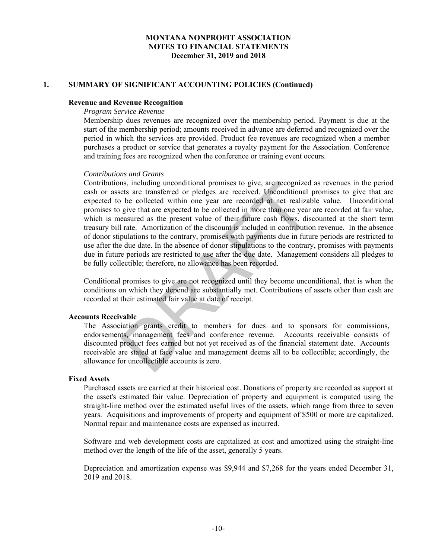## **1. SUMMARY OF SIGNIFICANT ACCOUNTING POLICIES (Continued)**

## **Revenue and Revenue Recognition**

#### *Program Service Revenue*

Membership dues revenues are recognized over the membership period. Payment is due at the start of the membership period; amounts received in advance are deferred and recognized over the period in which the services are provided. Product fee revenues are recognized when a member purchases a product or service that generates a royalty payment for the Association. Conference and training fees are recognized when the conference or training event occurs.

## *Contributions and Grants*

Contributions, including unconditional promises to give, are recognized as revenues in the period cash or assets are transferred or pledges are received. Unconditional promises to give that are expected to be collected within one year are recorded at net realizable value. Unconditional promises to give that are expected to be collected in more than one year are recorded at fair value, which is measured as the present value of their future cash flows, discounted at the short term treasury bill rate. Amortization of the discount is included in contribution revenue. In the absence of donor stipulations to the contrary, promises with payments due in future periods are restricted to use after the due date. In the absence of donor stipulations to the contrary, promises with payments due in future periods are restricted to use after the due date. Management considers all pledges to be fully collectible; therefore, no allowance has been recorded.

Conditional promises to give are not recognized until they become unconditional, that is when the conditions on which they depend are substantially met. Contributions of assets other than cash are recorded at their estimated fair value at date of receipt.

## **Accounts Receivable**

The Association grants credit to members for dues and to sponsors for commissions, endorsements, management fees and conference revenue. Accounts receivable consists of discounted product fees earned but not yet received as of the financial statement date. Accounts receivable are stated at face value and management deems all to be collectible; accordingly, the allowance for uncollectible accounts is zero.

## **Fixed Assets**

Purchased assets are carried at their historical cost. Donations of property are recorded as support at the asset's estimated fair value. Depreciation of property and equipment is computed using the straight-line method over the estimated useful lives of the assets, which range from three to seven years. Acquisitions and improvements of property and equipment of \$500 or more are capitalized. Normal repair and maintenance costs are expensed as incurred.

Software and web development costs are capitalized at cost and amortized using the straight-line method over the length of the life of the asset, generally 5 years.

Depreciation and amortization expense was \$9,944 and \$7,268 for the years ended December 31, 2019 and 2018.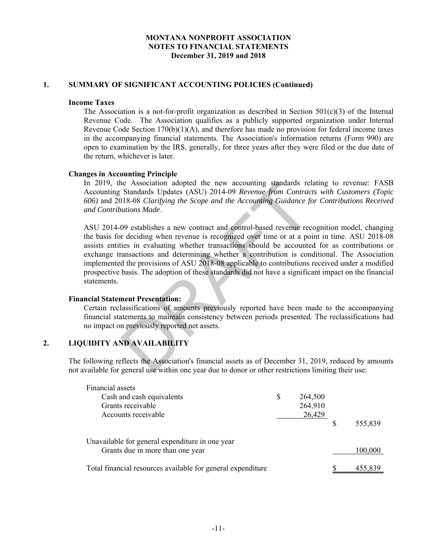## **1. SUMMARY OF SIGNIFICANT ACCOUNTING POLICIES (Continued)**

## **Income Taxes**

The Association is a not-for-profit organization as described in Section  $501(c)(3)$  of the Internal Revenue Code. The Association qualifies as a publicly supported organization under Internal Revenue Code Section 170(b)(1)(A), and therefore has made no provision for federal income taxes in the accompanying financial statements. The Association's information returns (Form 990) are open to examination by the IRS, generally, for three years after they were filed or the due date of the return, whichever is later.

## **Changes in Accounting Principle**

In 2019, the Association adopted the new accounting standards relating to revenue: FASB Accounting Standards Updates (ASU) 2014-09 *Revenue from Contracts with Customers (Topic 606)* and 2018-08 *Clarifying the Scope and the Accounting Guidance for Contributions Received and Contributions Made*.

ASU 2014-09 establishes a new contract and control-based revenue recognition model, changing the basis for deciding when revenue is recognized over time or at a point in time. ASU 2018-08 assists entities in evaluating whether transactions should be accounted for as contributions or exchange transactions and determining whether a contribution is conditional. The Association implemented the provisions of ASU 2018-08 applicable to contributions received under a modified prospective basis. The adoption of these standards did not have a significant impact on the financial statements.

## **Financial Statement Presentation:**

Certain reclassifications of amounts previously reported have been made to the accompanying financial statements to maintain consistency between periods presented. The reclassifications had no impact on previously reported net assets.

## **2. LIQUIDITY AND AVAILABILITY**

The following reflects the Association's financial assets as of December 31, 2019, reduced by amounts not available for general use within one year due to donor or other restrictions limiting their use:

| Financial assets                                            |   |         |         |
|-------------------------------------------------------------|---|---------|---------|
| Cash and cash equivalents                                   | S | 264,500 |         |
| Grants receivable                                           |   | 264,910 |         |
| Accounts receivable                                         |   | 26,429  |         |
|                                                             |   |         | 555,839 |
| Unavailable for general expenditure in one year             |   |         |         |
| Grants due in more than one year                            |   |         | 100,000 |
|                                                             |   |         |         |
| Total financial resources available for general expenditure |   |         | 455,839 |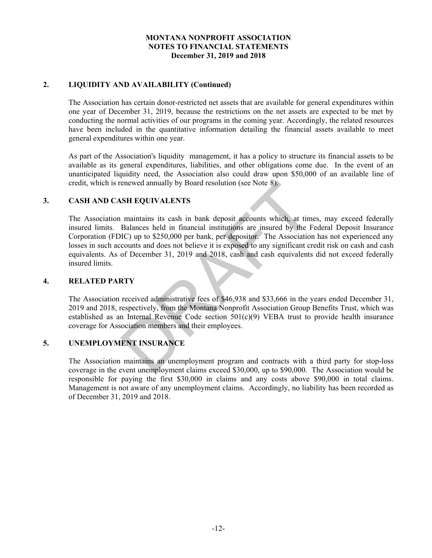# **2. LIQUIDITY AND AVAILABILITY (Continued)**

The Association has certain donor-restricted net assets that are available for general expenditures within one year of December 31, 2019, because the restrictions on the net assets are expected to be met by conducting the normal activities of our programs in the coming year. Accordingly, the related resources have been included in the quantitative information detailing the financial assets available to meet general expenditures within one year.

As part of the Association's liquidity management, it has a policy to structure its financial assets to be available as its general expenditures, liabilities, and other obligations come due. In the event of an unanticipated liquidity need, the Association also could draw upon \$50,000 of an available line of credit, which is renewed annually by Board resolution (see Note 8).

# **3. CASH AND CASH EQUIVALENTS**

The Association maintains its cash in bank deposit accounts which, at times, may exceed federally insured limits. Balances held in financial institutions are insured by the Federal Deposit Insurance Corporation (FDIC) up to \$250,000 per bank, per depositor. The Association has not experienced any losses in such accounts and does not believe it is exposed to any significant credit risk on cash and cash equivalents. As of December 31, 2019 and 2018, cash and cash equivalents did not exceed federally insured limits.

# **4. RELATED PARTY**

The Association received administrative fees of \$46,938 and \$33,666 in the years ended December 31, 2019 and 2018, respectively, from the Montana Nonprofit Association Group Benefits Trust, which was established as an Internal Revenue Code section 501(c)(9) VEBA trust to provide health insurance coverage for Association members and their employees.

# **5. UNEMPLOYMENT INSURANCE**

The Association maintains an unemployment program and contracts with a third party for stop-loss coverage in the event unemployment claims exceed \$30,000, up to \$90,000. The Association would be responsible for paying the first \$30,000 in claims and any costs above \$90,000 in total claims. Management is not aware of any unemployment claims. Accordingly, no liability has been recorded as of December 31, 2019 and 2018.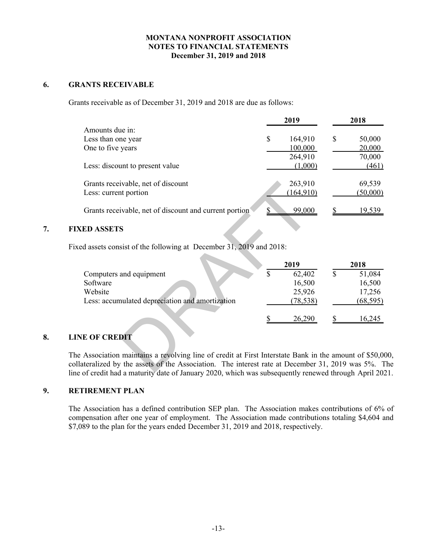# **6. GRANTS RECEIVABLE**

Grants receivable as of December 31, 2019 and 2018 are due as follows:

|                                                        | 2019          |   | 2018     |  |
|--------------------------------------------------------|---------------|---|----------|--|
| Amounts due in:                                        |               |   |          |  |
| Less than one year                                     | \$<br>164,910 | S | 50,000   |  |
| One to five years                                      | 100,000       |   | 20,000   |  |
|                                                        | 264,910       |   | 70,000   |  |
| Less: discount to present value                        | (1,000)       |   | (461)    |  |
| Grants receivable, net of discount                     | 263,910       |   | 69,539   |  |
| Less: current portion                                  | (164,910)     |   | (50,000) |  |
| Grants receivable, net of discount and current portion | 99,000        |   | 19,539   |  |

# **7. FIXED ASSETS**

Fixed assets consist of the following at December 31, 2019 and 2018:

|                                                 |   | 2019      | 2018      |
|-------------------------------------------------|---|-----------|-----------|
| Computers and equipment                         | S | 62,402    | 51,084    |
| Software                                        |   | 16,500    | 16,500    |
| Website                                         |   | 25,926    | 17,256    |
| Less: accumulated depreciation and amortization |   | (78, 538) | (68, 595) |
|                                                 |   | 26,290    | 16.245    |

# **8. LINE OF CREDIT**

The Association maintains a revolving line of credit at First Interstate Bank in the amount of \$50,000, collateralized by the assets of the Association. The interest rate at December 31, 2019 was 5%. The line of credit had a maturity date of January 2020, which was subsequently renewed through April 2021.

# **9. RETIREMENT PLAN**

The Association has a defined contribution SEP plan. The Association makes contributions of 6% of compensation after one year of employment. The Association made contributions totaling \$4,604 and \$7,089 to the plan for the years ended December 31, 2019 and 2018, respectively.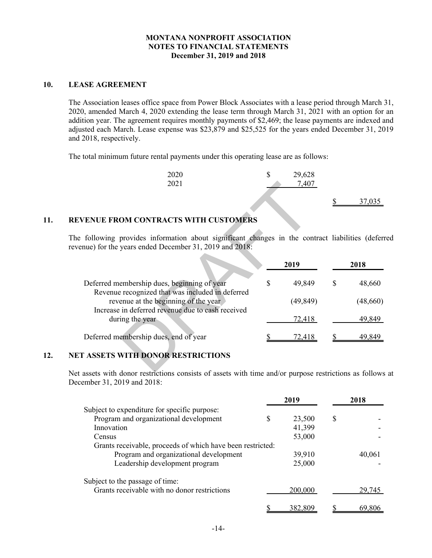#### **10. LEASE AGREEMENT**

The Association leases office space from Power Block Associates with a lease period through March 31, 2020, amended March 4, 2020 extending the lease term through March 31, 2021 with an option for an addition year. The agreement requires monthly payments of \$2,469; the lease payments are indexed and adjusted each March. Lease expense was \$23,879 and \$25,525 for the years ended December 31, 2019 and 2018, respectively.

The total minimum future rental payments under this operating lease are as follows:

| 2020<br>2021 | Φ | 29,628<br>407<br>⇁ |         |        |
|--------------|---|--------------------|---------|--------|
|              |   |                    | ⋔<br>۰D | 37,035 |

## **11. REVENUE FROM CONTRACTS WITH CUSTOMERS**

The following provides information about significant changes in the contract liabilities (deferred revenue) for the years ended December 31, 2019 and 2018:

|                                                                                          | 2019     | 2018     |  |
|------------------------------------------------------------------------------------------|----------|----------|--|
| Deferred membership dues, beginning of year                                              | 49.849   | 48,660   |  |
| Revenue recognized that was included in deferred<br>revenue at the beginning of the year | (49,849) | (48,660) |  |
| Increase in deferred revenue due to cash received<br>during the year                     | 72,418   | 49.849   |  |
| Deferred membership dues, end of year                                                    | 72.418   |          |  |

## **12. NET ASSETS WITH DONOR RESTRICTIONS**

Net assets with donor restrictions consists of assets with time and/or purpose restrictions as follows at December 31, 2019 and 2018:

|                                                            |   | 2019    | 2018   |
|------------------------------------------------------------|---|---------|--------|
| Subject to expenditure for specific purpose:               |   |         |        |
| Program and organizational development                     | S | 23,500  | \$     |
| Innovation                                                 |   | 41,399  |        |
| Census                                                     |   | 53,000  |        |
| Grants receivable, proceeds of which have been restricted: |   |         |        |
| Program and organizational development                     |   | 39,910  | 40,061 |
| Leadership development program                             |   | 25,000  |        |
| Subject to the passage of time:                            |   |         |        |
| Grants receivable with no donor restrictions               |   | 200,000 | 29.745 |
|                                                            |   | 382.809 | 69.806 |